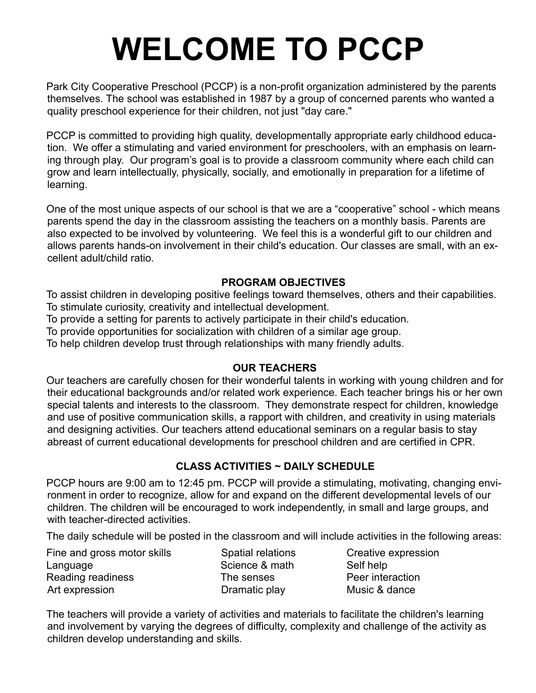# **WELCOME TO PCCP**

Park City Cooperative Preschool (PCCP) is a non-profit organization administered by the parents themselves. The school was established in 1987 by a group of concerned parents who wanted a quality preschool experience for their children, not just "day care."

PCCP is committed to providing high quality, developmentally appropriate early childhood education. We offer a stimulating and varied environment for preschoolers, with an emphasis on learning through play. Our program's goal is to provide a classroom community where each child can grow and learn intellectually, physically, socially, and emotionally in preparation for a lifetime of learning.

One of the most unique aspects of our school is that we are a "cooperative" school - which means parents spend the day in the classroom assisting the teachers on a monthly basis. Parents are also expected to be involved by volunteering. We feel this is a wonderful gift to our children and allows parents hands-on involvement in their child's education. Our classes are small, with an excellent adult/child ratio.

# **PROGRAM OBJECTIVES**

To assist children in developing positive feelings toward themselves, others and their capabilities. To stimulate curiosity, creativity and intellectual development.

To provide a setting for parents to actively participate in their child's education.

To provide opportunities for socialization with children of a similar age group.

To help children develop trust through relationships with many friendly adults.

## **OUR TEACHERS**

Our teachers are carefully chosen for their wonderful talents in working with young children and for their educational backgrounds and/or related work experience. Each teacher brings his or her own special talents and interests to the classroom. They demonstrate respect for children, knowledge and use of positive communication skills, a rapport with children, and creativity in using materials and designing activities. Our teachers attend educational seminars on a regular basis to stay abreast of current educational developments for preschool children and are certified in CPR.

# **CLASS ACTIVITIES ~ DAILY SCHEDULE**

PCCP hours are 9:00 am to 12:45 pm. PCCP will provide a stimulating, motivating, changing environment in order to recognize, allow for and expand on the different developmental levels of our children. The children will be encouraged to work independently, in small and large groups, and with teacher-directed activities.

The daily schedule will be posted in the classroom and will include activities in the following areas:

Fine and gross motor skills Spatial relations Creative expression Language **Science & math** Self help Reading readiness The senses Peer interaction Art expression **Dramatic play** Dramatic play Music & dance

The teachers will provide a variety of activities and materials to facilitate the children's learning and involvement by varying the degrees of difficulty, complexity and challenge of the activity as children develop understanding and skills.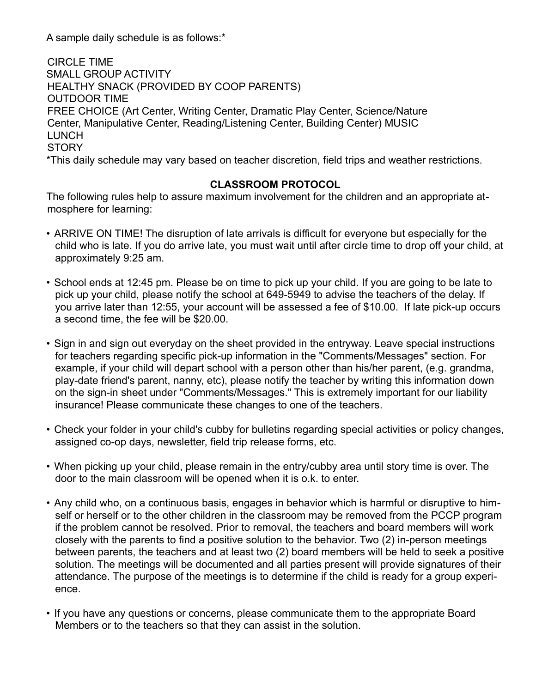A sample daily schedule is as follows:\*

 CIRCLE TIME SMALL GROUP ACTIVITY HEALTHY SNACK (PROVIDED BY COOP PARENTS) OUTDOOR TIME FREE CHOICE (Art Center, Writing Center, Dramatic Play Center, Science/Nature Center, Manipulative Center, Reading/Listening Center, Building Center) MUSIC **LUNCH STORY** \*This daily schedule may vary based on teacher discretion, field trips and weather restrictions.

## **CLASSROOM PROTOCOL**

The following rules help to assure maximum involvement for the children and an appropriate atmosphere for learning:

- ARRIVE ON TIME! The disruption of late arrivals is difficult for everyone but especially for the child who is late. If you do arrive late, you must wait until after circle time to drop off your child, at approximately 9:25 am.
- School ends at 12:45 pm. Please be on time to pick up your child. If you are going to be late to pick up your child, please notify the school at 649-5949 to advise the teachers of the delay. If you arrive later than 12:55, your account will be assessed a fee of \$10.00. If late pick-up occurs a second time, the fee will be \$20.00.
- Sign in and sign out everyday on the sheet provided in the entryway. Leave special instructions for teachers regarding specific pick-up information in the "Comments/Messages" section. For example, if your child will depart school with a person other than his/her parent, (e.g. grandma, play-date friend's parent, nanny, etc), please notify the teacher by writing this information down on the sign-in sheet under "Comments/Messages." This is extremely important for our liability insurance! Please communicate these changes to one of the teachers.
- Check your folder in your child's cubby for bulletins regarding special activities or policy changes, assigned co-op days, newsletter, field trip release forms, etc.
- When picking up your child, please remain in the entry/cubby area until story time is over. The door to the main classroom will be opened when it is o.k. to enter.
- Any child who, on a continuous basis, engages in behavior which is harmful or disruptive to himself or herself or to the other children in the classroom may be removed from the PCCP program if the problem cannot be resolved. Prior to removal, the teachers and board members will work closely with the parents to find a positive solution to the behavior. Two (2) in-person meetings between parents, the teachers and at least two (2) board members will be held to seek a positive solution. The meetings will be documented and all parties present will provide signatures of their attendance. The purpose of the meetings is to determine if the child is ready for a group experience.
- If you have any questions or concerns, please communicate them to the appropriate Board Members or to the teachers so that they can assist in the solution.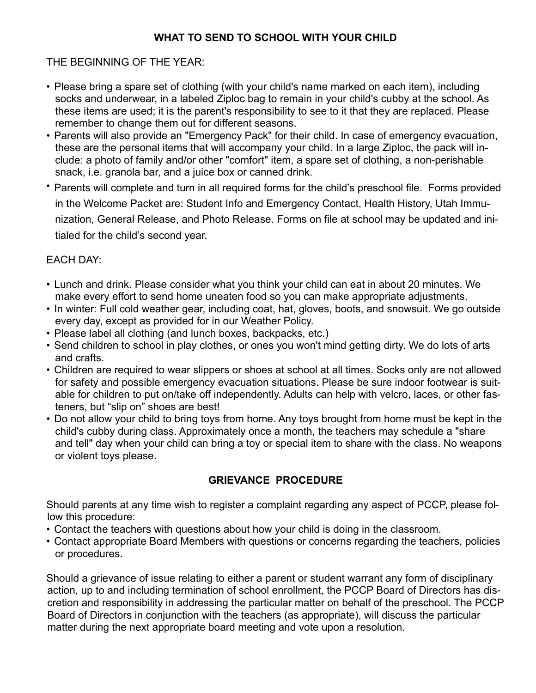# **WHAT TO SEND TO SCHOOL WITH YOUR CHILD**

## THE BEGINNING OF THE YEAR:

- Please bring a spare set of clothing (with your child's name marked on each item), including socks and underwear, in a labeled Ziploc bag to remain in your child's cubby at the school. As these items are used; it is the parent's responsibility to see to it that they are replaced. Please remember to change them out for different seasons.
- Parents will also provide an "Emergency Pack" for their child. In case of emergency evacuation, these are the personal items that will accompany your child. In a large Ziploc, the pack will include: a photo of family and/or other "comfort" item, a spare set of clothing, a non-perishable snack, i.e. granola bar, and a juice box or canned drink.
- Parents will complete and turn in all required forms for the child's preschool file. Forms provided in the Welcome Packet are: Student Info and Emergency Contact, Health History, Utah Immunization, General Release, and Photo Release. Forms on file at school may be updated and initialed for the child's second year.

# EACH DAY:

- Lunch and drink. Please consider what you think your child can eat in about 20 minutes. We make every effort to send home uneaten food so you can make appropriate adjustments.
- In winter: Full cold weather gear, including coat, hat, gloves, boots, and snowsuit. We go outside every day, except as provided for in our Weather Policy.
- Please label all clothing (and lunch boxes, backpacks, etc.)
- Send children to school in play clothes, or ones you won't mind getting dirty. We do lots of arts and crafts.
- Children are required to wear slippers or shoes at school at all times. Socks only are not allowed for safety and possible emergency evacuation situations. Please be sure indoor footwear is suitable for children to put on/take off independently. Adults can help with velcro, laces, or other fasteners, but "slip on" shoes are best!
- Do not allow your child to bring toys from home. Any toys brought from home must be kept in the child's cubby during class. Approximately once a month, the teachers may schedule a "share and tell" day when your child can bring a toy or special item to share with the class. No weapons or violent toys please.

# **GRIEVANCE PROCEDURE**

Should parents at any time wish to register a complaint regarding any aspect of PCCP, please follow this procedure:

- Contact the teachers with questions about how your child is doing in the classroom.
- Contact appropriate Board Members with questions or concerns regarding the teachers, policies or procedures.

Should a grievance of issue relating to either a parent or student warrant any form of disciplinary action, up to and including termination of school enrollment, the PCCP Board of Directors has discretion and responsibility in addressing the particular matter on behalf of the preschool. The PCCP Board of Directors in conjunction with the teachers (as appropriate), will discuss the particular matter during the next appropriate board meeting and vote upon a resolution.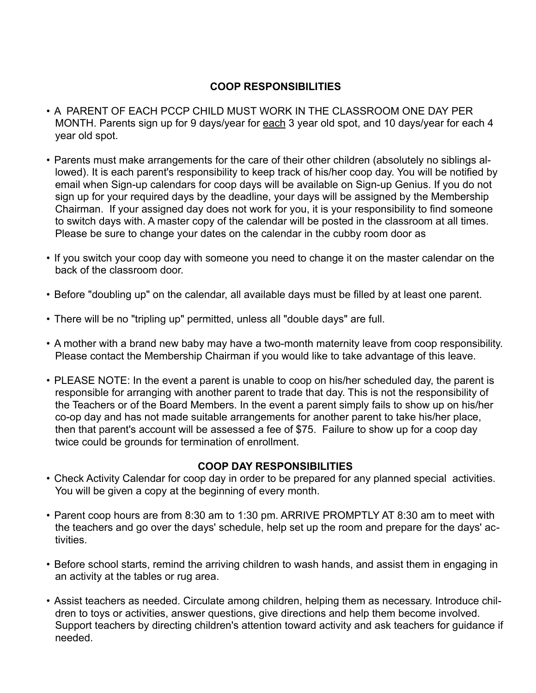## **COOP RESPONSIBILITIES**

- A PARENT OF EACH PCCP CHILD MUST WORK IN THE CLASSROOM ONE DAY PER MONTH. Parents sign up for 9 days/year for each 3 year old spot, and 10 days/year for each 4 year old spot.
- Parents must make arrangements for the care of their other children (absolutely no siblings allowed). It is each parent's responsibility to keep track of his/her coop day. You will be notified by email when Sign-up calendars for coop days will be available on Sign-up Genius. If you do not sign up for your required days by the deadline, your days will be assigned by the Membership Chairman. If your assigned day does not work for you, it is your responsibility to find someone to switch days with. A master copy of the calendar will be posted in the classroom at all times. Please be sure to change your dates on the calendar in the cubby room door as
- If you switch your coop day with someone you need to change it on the master calendar on the back of the classroom door.
- Before "doubling up" on the calendar, all available days must be filled by at least one parent.
- There will be no "tripling up" permitted, unless all "double days" are full.
- A mother with a brand new baby may have a two-month maternity leave from coop responsibility. Please contact the Membership Chairman if you would like to take advantage of this leave.
- PLEASE NOTE: In the event a parent is unable to coop on his/her scheduled day, the parent is responsible for arranging with another parent to trade that day. This is not the responsibility of the Teachers or of the Board Members. In the event a parent simply fails to show up on his/her co-op day and has not made suitable arrangements for another parent to take his/her place, then that parent's account will be assessed a fee of \$75. Failure to show up for a coop day twice could be grounds for termination of enrollment.

## **COOP DAY RESPONSIBILITIES**

- Check Activity Calendar for coop day in order to be prepared for any planned special activities. You will be given a copy at the beginning of every month.
- Parent coop hours are from 8:30 am to 1:30 pm. ARRIVE PROMPTLY AT 8:30 am to meet with the teachers and go over the days' schedule, help set up the room and prepare for the days' activities.
- Before school starts, remind the arriving children to wash hands, and assist them in engaging in an activity at the tables or rug area.
- Assist teachers as needed. Circulate among children, helping them as necessary. Introduce children to toys or activities, answer questions, give directions and help them become involved. Support teachers by directing children's attention toward activity and ask teachers for guidance if needed.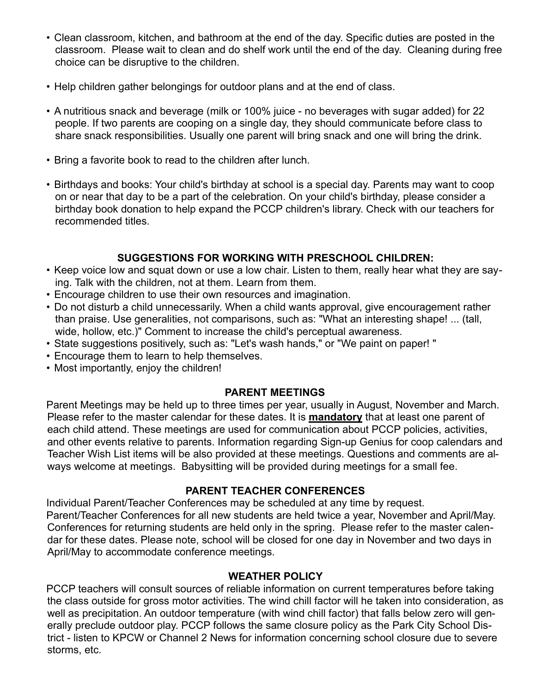- Clean classroom, kitchen, and bathroom at the end of the day. Specific duties are posted in the classroom. Please wait to clean and do shelf work until the end of the day. Cleaning during free choice can be disruptive to the children.
- Help children gather belongings for outdoor plans and at the end of class.
- A nutritious snack and beverage (milk or 100% juice no beverages with sugar added) for 22 people. If two parents are cooping on a single day, they should communicate before class to share snack responsibilities. Usually one parent will bring snack and one will bring the drink.
- Bring a favorite book to read to the children after lunch.
- Birthdays and books: Your child's birthday at school is a special day. Parents may want to coop on or near that day to be a part of the celebration. On your child's birthday, please consider a birthday book donation to help expand the PCCP children's library. Check with our teachers for recommended titles.

## **SUGGESTIONS FOR WORKING WITH PRESCHOOL CHILDREN:**

- Keep voice low and squat down or use a low chair. Listen to them, really hear what they are saying. Talk with the children, not at them. Learn from them.
- Encourage children to use their own resources and imagination.
- Do not disturb a child unnecessarily. When a child wants approval, give encouragement rather than praise. Use generalities, not comparisons, such as: "What an interesting shape! ... (tall, wide, hollow, etc.)" Comment to increase the child's perceptual awareness.
- State suggestions positively, such as: "Let's wash hands," or "We paint on paper! "
- Encourage them to learn to help themselves.
- Most importantly, enjoy the children!

#### **PARENT MEETINGS**

Parent Meetings may be held up to three times per year, usually in August, November and March. Please refer to the master calendar for these dates. It is **mandatory** that at least one parent of each child attend. These meetings are used for communication about PCCP policies, activities, and other events relative to parents. Information regarding Sign-up Genius for coop calendars and Teacher Wish List items will be also provided at these meetings. Questions and comments are always welcome at meetings. Babysitting will be provided during meetings for a small fee.

#### **PARENT TEACHER CONFERENCES**

Individual Parent/Teacher Conferences may be scheduled at any time by request. Parent/Teacher Conferences for all new students are held twice a year, November and April/May. Conferences for returning students are held only in the spring. Please refer to the master calendar for these dates. Please note, school will be closed for one day in November and two days in April/May to accommodate conference meetings.

#### **WEATHER POLICY**

PCCP teachers will consult sources of reliable information on current temperatures before taking the class outside for gross motor activities. The wind chill factor will he taken into consideration, as well as precipitation. An outdoor temperature (with wind chill factor) that falls below zero will generally preclude outdoor play. PCCP follows the same closure policy as the Park City School District - listen to KPCW or Channel 2 News for information concerning school closure due to severe storms, etc.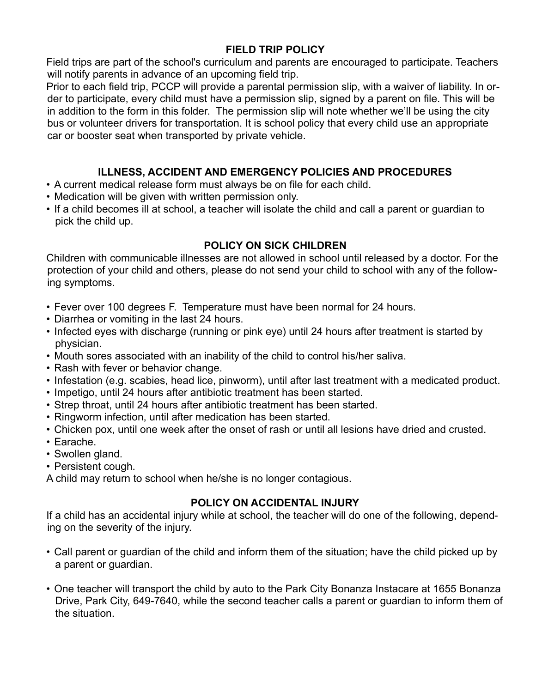## **FIELD TRIP POLICY**

Field trips are part of the school's curriculum and parents are encouraged to participate. Teachers will notify parents in advance of an upcoming field trip.

Prior to each field trip, PCCP will provide a parental permission slip, with a waiver of liability. In order to participate, every child must have a permission slip, signed by a parent on file. This will be in addition to the form in this folder. The permission slip will note whether we'll be using the city bus or volunteer drivers for transportation. It is school policy that every child use an appropriate car or booster seat when transported by private vehicle.

## **ILLNESS, ACCIDENT AND EMERGENCY POLICIES AND PROCEDURES**

- A current medical release form must always be on file for each child.
- Medication will be given with written permission only.
- If a child becomes ill at school, a teacher will isolate the child and call a parent or guardian to pick the child up.

## **POLICY ON SICK CHILDREN**

Children with communicable illnesses are not allowed in school until released by a doctor. For the protection of your child and others, please do not send your child to school with any of the following symptoms.

- Fever over 100 degrees F. Temperature must have been normal for 24 hours.
- Diarrhea or vomiting in the last 24 hours.
- Infected eyes with discharge (running or pink eye) until 24 hours after treatment is started by physician.
- Mouth sores associated with an inability of the child to control his/her saliva.
- Rash with fever or behavior change.
- Infestation (e.g. scabies, head lice, pinworm), until after last treatment with a medicated product.
- Impetigo, until 24 hours after antibiotic treatment has been started.
- Strep throat, until 24 hours after antibiotic treatment has been started.
- Ringworm infection, until after medication has been started.
- Chicken pox, until one week after the onset of rash or until all lesions have dried and crusted.
- Earache.
- Swollen gland.
- Persistent cough.

A child may return to school when he/she is no longer contagious.

# **POLICY ON ACCIDENTAL INJURY**

If a child has an accidental injury while at school, the teacher will do one of the following, depending on the severity of the injury.

- Call parent or guardian of the child and inform them of the situation; have the child picked up by a parent or guardian.
- One teacher will transport the child by auto to the Park City Bonanza Instacare at 1655 Bonanza Drive, Park City, 649-7640, while the second teacher calls a parent or guardian to inform them of the situation.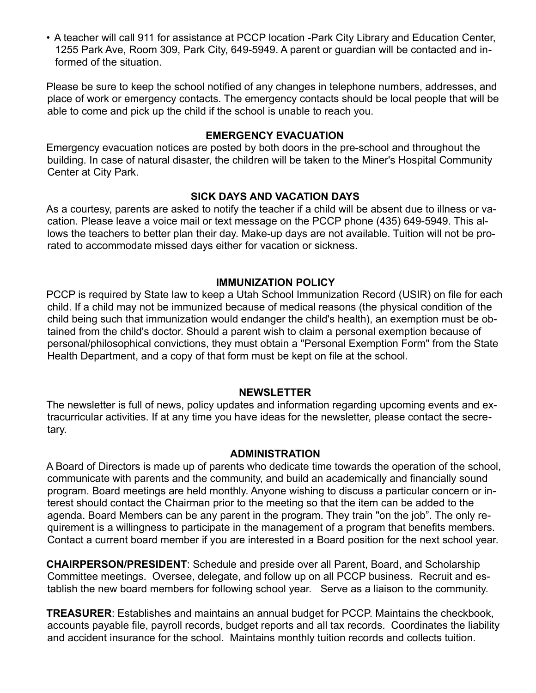• A teacher will call 911 for assistance at PCCP location -Park City Library and Education Center, 1255 Park Ave, Room 309, Park City, 649-5949. A parent or guardian will be contacted and informed of the situation.

Please be sure to keep the school notified of any changes in telephone numbers, addresses, and place of work or emergency contacts. The emergency contacts should be local people that will be able to come and pick up the child if the school is unable to reach you.

#### **EMERGENCY EVACUATION**

Emergency evacuation notices are posted by both doors in the pre-school and throughout the building. In case of natural disaster, the children will be taken to the Miner's Hospital Community Center at City Park.

#### **SICK DAYS AND VACATION DAYS**

As a courtesy, parents are asked to notify the teacher if a child will be absent due to illness or vacation. Please leave a voice mail or text message on the PCCP phone (435) 649-5949. This allows the teachers to better plan their day. Make-up days are not available. Tuition will not be prorated to accommodate missed days either for vacation or sickness.

#### **IMMUNIZATION POLICY**

PCCP is required by State law to keep a Utah School Immunization Record (USIR) on file for each child. If a child may not be immunized because of medical reasons (the physical condition of the child being such that immunization would endanger the child's health), an exemption must be obtained from the child's doctor. Should a parent wish to claim a personal exemption because of personal/philosophical convictions, they must obtain a "Personal Exemption Form" from the State Health Department, and a copy of that form must be kept on file at the school.

#### **NEWSLETTER**

The newsletter is full of news, policy updates and information regarding upcoming events and extracurricular activities. If at any time you have ideas for the newsletter, please contact the secretary.

#### **ADMINISTRATION**

A Board of Directors is made up of parents who dedicate time towards the operation of the school, communicate with parents and the community, and build an academically and financially sound program. Board meetings are held monthly. Anyone wishing to discuss a particular concern or interest should contact the Chairman prior to the meeting so that the item can be added to the agenda. Board Members can be any parent in the program. They train "on the job". The only requirement is a willingness to participate in the management of a program that benefits members. Contact a current board member if you are interested in a Board position for the next school year.

**CHAIRPERSON/PRESIDENT**: Schedule and preside over all Parent, Board, and Scholarship Committee meetings. Oversee, delegate, and follow up on all PCCP business. Recruit and establish the new board members for following school year. Serve as a liaison to the community.

**TREASURER**: Establishes and maintains an annual budget for PCCP. Maintains the checkbook, accounts payable file, payroll records, budget reports and all tax records. Coordinates the liability and accident insurance for the school. Maintains monthly tuition records and collects tuition.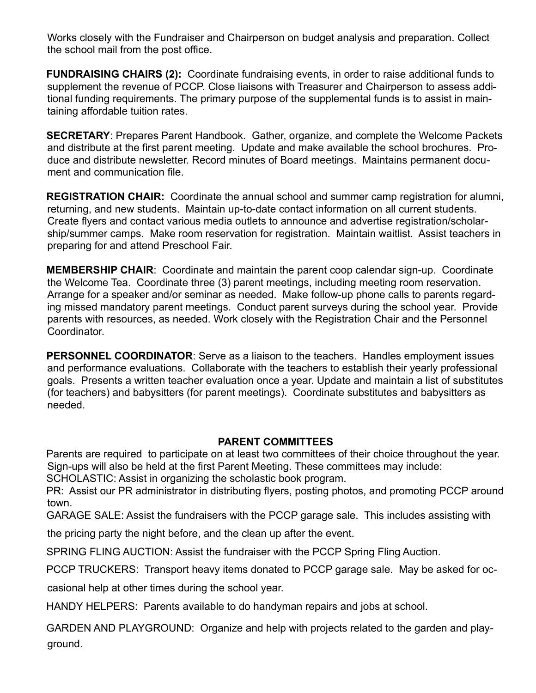Works closely with the Fundraiser and Chairperson on budget analysis and preparation. Collect the school mail from the post office.

**FUNDRAISING CHAIRS (2):** Coordinate fundraising events, in order to raise additional funds to supplement the revenue of PCCP. Close liaisons with Treasurer and Chairperson to assess additional funding requirements. The primary purpose of the supplemental funds is to assist in maintaining affordable tuition rates.

**SECRETARY**: Prepares Parent Handbook. Gather, organize, and complete the Welcome Packets and distribute at the first parent meeting. Update and make available the school brochures. Produce and distribute newsletter. Record minutes of Board meetings. Maintains permanent document and communication file.

**REGISTRATION CHAIR:** Coordinate the annual school and summer camp registration for alumni, returning, and new students. Maintain up-to-date contact information on all current students. Create flyers and contact various media outlets to announce and advertise registration/scholarship/summer camps. Make room reservation for registration. Maintain waitlist. Assist teachers in preparing for and attend Preschool Fair.

**MEMBERSHIP CHAIR**: Coordinate and maintain the parent coop calendar sign-up. Coordinate the Welcome Tea. Coordinate three (3) parent meetings, including meeting room reservation. Arrange for a speaker and/or seminar as needed. Make follow-up phone calls to parents regarding missed mandatory parent meetings. Conduct parent surveys during the school year. Provide parents with resources, as needed. Work closely with the Registration Chair and the Personnel Coordinator.

**PERSONNEL COORDINATOR**: Serve as a liaison to the teachers. Handles employment issues and performance evaluations. Collaborate with the teachers to establish their yearly professional goals. Presents a written teacher evaluation once a year. Update and maintain a list of substitutes (for teachers) and babysitters (for parent meetings). Coordinate substitutes and babysitters as needed.

## **PARENT COMMITTEES**

Parents are required to participate on at least two committees of their choice throughout the year. Sign-ups will also be held at the first Parent Meeting. These committees may include:

SCHOLASTIC: Assist in organizing the scholastic book program.

PR: Assist our PR administrator in distributing flyers, posting photos, and promoting PCCP around town.

GARAGE SALE: Assist the fundraisers with the PCCP garage sale. This includes assisting with

the pricing party the night before, and the clean up after the event.

SPRING FLING AUCTION: Assist the fundraiser with the PCCP Spring Fling Auction.

PCCP TRUCKERS: Transport heavy items donated to PCCP garage sale. May be asked for oc-

casional help at other times during the school year.

HANDY HELPERS: Parents available to do handyman repairs and jobs at school.

GARDEN AND PLAYGROUND: Organize and help with projects related to the garden and playground.